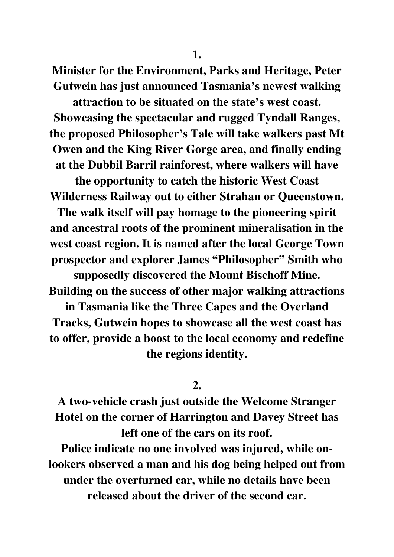**Minister for the Environment, Parks and Heritage, Peter Gutwein has just announced Tasmania's newest walking** 

**attraction to be situated on the state's west coast. Showcasing the spectacular and rugged Tyndall Ranges, the proposed Philosopher's Tale will take walkers past Mt Owen and the King River Gorge area, and finally ending at the Dubbil Barril rainforest, where walkers will have** 

**the opportunity to catch the historic West Coast Wilderness Railway out to either Strahan or Queenstown.** 

**The walk itself will pay homage to the pioneering spirit and ancestral roots of the prominent mineralisation in the west coast region. It is named after the local George Town prospector and explorer James "Philosopher" Smith who** 

**supposedly discovered the Mount Bischoff Mine. Building on the success of other major walking attractions** 

**in Tasmania like the Three Capes and the Overland Tracks, Gutwein hopes to showcase all the west coast has to offer, provide a boost to the local economy and redefine the regions identity.** 

**2.** 

**A two-vehicle crash just outside the Welcome Stranger Hotel on the corner of Harrington and Davey Street has left one of the cars on its roof.** 

**Police indicate no one involved was injured, while onlookers observed a man and his dog being helped out from under the overturned car, while no details have been released about the driver of the second car.**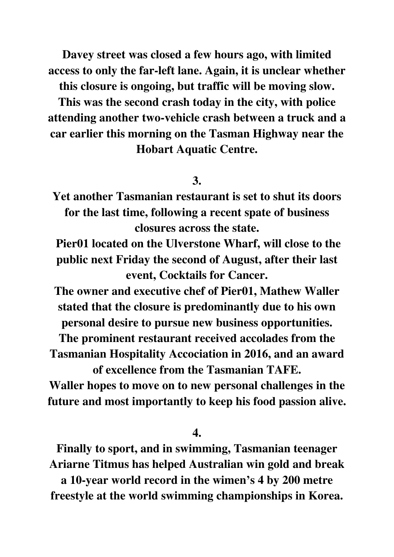**Davey street was closed a few hours ago, with limited access to only the far-left lane. Again, it is unclear whether** 

**this closure is ongoing, but traffic will be moving slow.** 

**This was the second crash today in the city, with police attending another two-vehicle crash between a truck and a car earlier this morning on the Tasman Highway near the Hobart Aquatic Centre.** 

## **3.**

**Yet another Tasmanian restaurant is set to shut its doors for the last time, following a recent spate of business closures across the state.** 

 **Pier01 located on the Ulverstone Wharf, will close to the public next Friday the second of August, after their last event, Cocktails for Cancer.** 

**The owner and executive chef of Pier01, Mathew Waller stated that the closure is predominantly due to his own personal desire to pursue new business opportunities.** 

**The prominent restaurant received accolades from the Tasmanian Hospitality Accociation in 2016, and an award of excellence from the Tasmanian TAFE.** 

**Waller hopes to move on to new personal challenges in the future and most importantly to keep his food passion alive.** 

**4.** 

**Finally to sport, and in swimming, Tasmanian teenager Ariarne Titmus has helped Australian win gold and break** 

**a 10-year world record in the wimen's 4 by 200 metre freestyle at the world swimming championships in Korea.**